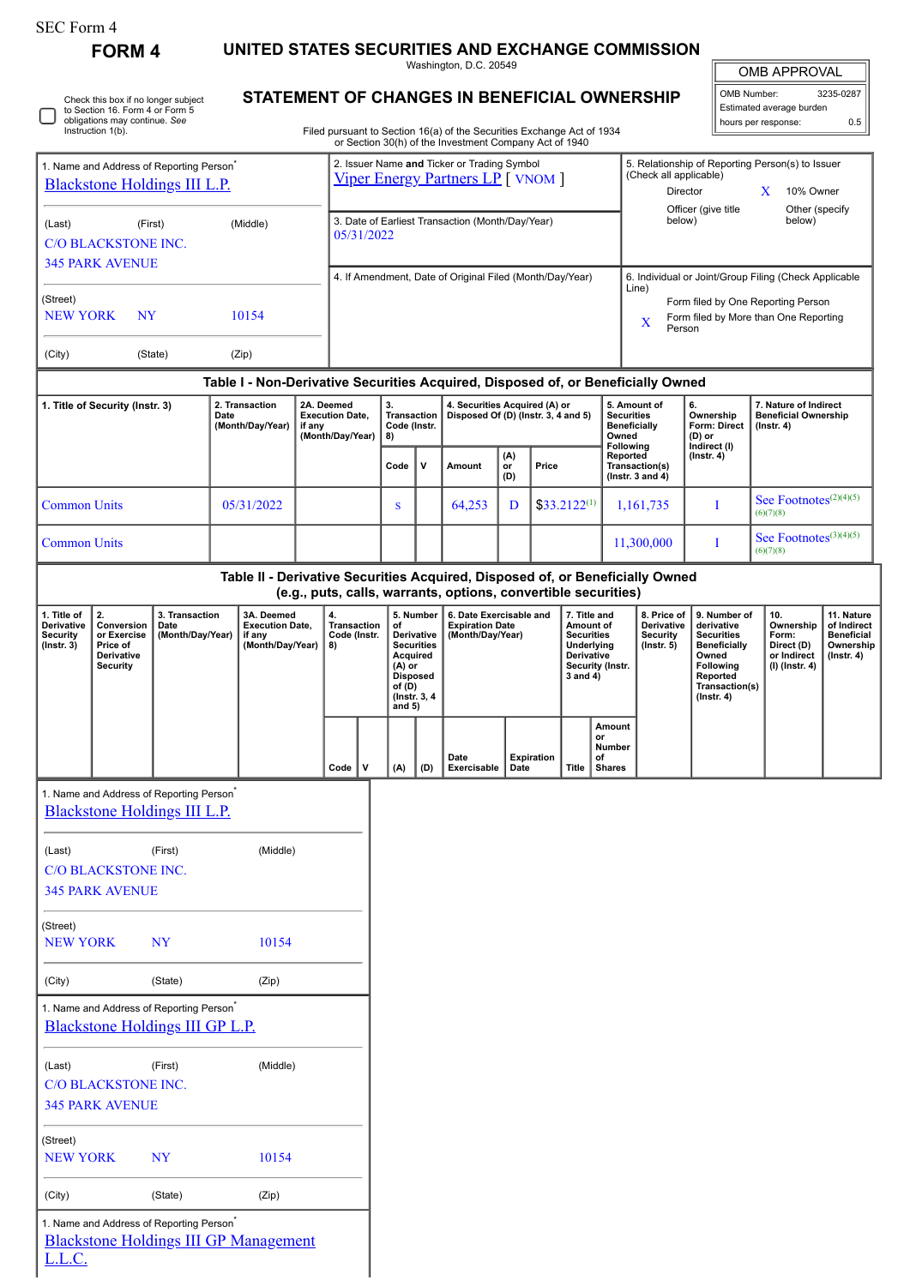| SEC Form 4 |  |
|------------|--|
|------------|--|

٦

Check this box if no longer subject to Section 16. Form 4 or Form 5 obligations may continue. *See* Instruction 1(b).

**FORM 4 UNITED STATES SECURITIES AND EXCHANGE COMMISSION**

Washington, D.C. 20549 **STATEMENT OF CHANGES IN BENEFICIAL OWNERSHIP**

| <b>OMB APPROVAL</b>      |           |  |  |  |  |  |  |
|--------------------------|-----------|--|--|--|--|--|--|
| OMB Number:              | 3235-0287 |  |  |  |  |  |  |
| Estimated average burden |           |  |  |  |  |  |  |

hours per response: 0.5

Filed pursuant to Section 16(a) of the Securities Exchange Act of 1934 or Section 30(h) of the Investment Company Act of 1940

| 1. Name and Address of Reporting Person <sup>*</sup><br><b>Blackstone Holdings III L.P.</b>                                               |                                                                                                                                                 |                                            |                                                      | 2. Issuer Name and Ticker or Trading Symbol<br><b>Viper Energy Partners LP</b> [ VNOM ] |  |                                                                |   |                                                                                                                                     |     |                                                                       | 5. Relationship of Reporting Person(s) to Issuer<br>(Check all applicable)<br>Director<br>X<br>10% Owner |                   |                                                                                                            |                                                                                |                                                           |                                                                                                                                                |                                                                          |                                                                          |                                                                           |  |
|-------------------------------------------------------------------------------------------------------------------------------------------|-------------------------------------------------------------------------------------------------------------------------------------------------|--------------------------------------------|------------------------------------------------------|-----------------------------------------------------------------------------------------|--|----------------------------------------------------------------|---|-------------------------------------------------------------------------------------------------------------------------------------|-----|-----------------------------------------------------------------------|----------------------------------------------------------------------------------------------------------|-------------------|------------------------------------------------------------------------------------------------------------|--------------------------------------------------------------------------------|-----------------------------------------------------------|------------------------------------------------------------------------------------------------------------------------------------------------|--------------------------------------------------------------------------|--------------------------------------------------------------------------|---------------------------------------------------------------------------|--|
| (Last)                                                                                                                                    | <b>C/O BLACKSTONE INC.</b>                                                                                                                      | (First)                                    |                                                      | (Middle)                                                                                |  | 3. Date of Earliest Transaction (Month/Day/Year)<br>05/31/2022 |   |                                                                                                                                     |     |                                                                       |                                                                                                          |                   |                                                                                                            | Officer (give title<br>below)                                                  |                                                           | Other (specify<br>below)                                                                                                                       |                                                                          |                                                                          |                                                                           |  |
|                                                                                                                                           | <b>345 PARK AVENUE</b>                                                                                                                          |                                            |                                                      |                                                                                         |  |                                                                |   |                                                                                                                                     |     | 4. If Amendment, Date of Original Filed (Month/Day/Year)              |                                                                                                          |                   |                                                                                                            |                                                                                |                                                           | 6. Individual or Joint/Group Filing (Check Applicable                                                                                          |                                                                          |                                                                          |                                                                           |  |
| (Street)<br><b>NEW YORK</b><br>NY<br>10154                                                                                                |                                                                                                                                                 |                                            |                                                      |                                                                                         |  |                                                                |   |                                                                                                                                     |     |                                                                       |                                                                                                          |                   | Line)<br>Form filed by One Reporting Person<br>Form filed by More than One Reporting<br>X<br>Person        |                                                                                |                                                           |                                                                                                                                                |                                                                          |                                                                          |                                                                           |  |
| (City)                                                                                                                                    |                                                                                                                                                 | (State)                                    |                                                      | (Zip)                                                                                   |  |                                                                |   |                                                                                                                                     |     |                                                                       |                                                                                                          |                   |                                                                                                            |                                                                                |                                                           |                                                                                                                                                |                                                                          |                                                                          |                                                                           |  |
|                                                                                                                                           |                                                                                                                                                 |                                            |                                                      | Table I - Non-Derivative Securities Acquired, Disposed of, or Beneficially Owned        |  |                                                                |   |                                                                                                                                     |     |                                                                       |                                                                                                          |                   |                                                                                                            |                                                                                |                                                           |                                                                                                                                                |                                                                          |                                                                          |                                                                           |  |
| 1. Title of Security (Instr. 3)                                                                                                           |                                                                                                                                                 |                                            | 2. Transaction<br>Date<br>(Month/Day/Year)<br>if any |                                                                                         |  | 2A. Deemed<br><b>Execution Date,</b><br>(Month/Day/Year)       |   | 3.<br><b>Transaction</b><br>Code (Instr.<br>8)                                                                                      |     | 4. Securities Acquired (A) or<br>Disposed Of (D) (Instr. 3, 4 and 5)  |                                                                                                          |                   |                                                                                                            | 5. Amount of<br><b>Securities</b><br><b>Beneficially</b><br>Owned<br>Following |                                                           | 6.<br>Ownership<br>Form: Direct<br>(D) or<br>Indirect (I)                                                                                      | 7. Nature of Indirect<br><b>Beneficial Ownership</b><br>$($ Instr. 4 $)$ |                                                                          |                                                                           |  |
|                                                                                                                                           |                                                                                                                                                 |                                            |                                                      |                                                                                         |  |                                                                |   | Code                                                                                                                                | v   | Amount                                                                | (A)<br>or<br>(D)                                                                                         | Price             |                                                                                                            |                                                                                | Reported<br>Transaction(s)<br>( $lnstr. 3 and 4$ )        | $($ Instr. 4 $)$                                                                                                                               |                                                                          |                                                                          |                                                                           |  |
| <b>Common Units</b>                                                                                                                       |                                                                                                                                                 |                                            |                                                      | 05/31/2022                                                                              |  |                                                                |   | S                                                                                                                                   |     | 64,253                                                                | D                                                                                                        |                   | $$33.2122^{(1)}$                                                                                           | 1,161,735<br>I                                                                 |                                                           |                                                                                                                                                | See Footnotes <sup>(2)(4)(5)</sup><br>(6)(7)(8)                          |                                                                          |                                                                           |  |
| <b>Common Units</b>                                                                                                                       |                                                                                                                                                 |                                            |                                                      |                                                                                         |  |                                                                |   |                                                                                                                                     |     |                                                                       |                                                                                                          |                   |                                                                                                            |                                                                                | 11,300,000                                                | П                                                                                                                                              |                                                                          | See Footnotes <sup>(3)(4)(5)</sup><br>(6)(7)(8)                          |                                                                           |  |
|                                                                                                                                           | Table II - Derivative Securities Acquired, Disposed of, or Beneficially Owned<br>(e.g., puts, calls, warrants, options, convertible securities) |                                            |                                                      |                                                                                         |  |                                                                |   |                                                                                                                                     |     |                                                                       |                                                                                                          |                   |                                                                                                            |                                                                                |                                                           |                                                                                                                                                |                                                                          |                                                                          |                                                                           |  |
| 2.<br>1. Title of<br>Derivative<br>Conversion<br>Security<br>or Exercise<br>$($ Instr. 3 $)$<br>Price of<br>Derivative<br><b>Security</b> |                                                                                                                                                 | 3. Transaction<br>Date<br>(Month/Day/Year) |                                                      | 3A. Deemed<br><b>Execution Date,</b><br>if any<br>(Month/Day/Year)                      |  | 4.<br><b>Transaction</b><br>Code (Instr.<br>8)                 |   | 5. Number<br>of<br>Derivative<br><b>Securities</b><br>Acquired<br>$(A)$ or<br><b>Disposed</b><br>of (D)<br>(Instr. 3, 4<br>and $5)$ |     | 6. Date Exercisable and<br><b>Expiration Date</b><br>(Month/Day/Year) |                                                                                                          |                   | 7. Title and<br>Amount of<br><b>Securities</b><br>Underlying<br>Derivative<br>Security (Instr.<br>3 and 4) |                                                                                | 8. Price of<br>Derivative<br>Security<br>$($ Instr. 5 $)$ | 9. Number of<br>derivative<br><b>Securities</b><br><b>Beneficially</b><br>Owned<br>Following<br>Reported<br>Transaction(s)<br>$($ Instr. 4 $)$ |                                                                          | 10.<br>Ownership<br>Form:<br>Direct (D)<br>or Indirect<br>(I) (Instr. 4) | 11. Nature<br>of Indirect<br><b>Beneficial</b><br>Ownership<br>(Instr. 4) |  |
|                                                                                                                                           |                                                                                                                                                 |                                            |                                                      |                                                                                         |  | Code                                                           | v | (A)                                                                                                                                 | (D) | Date<br>Exercisable                                                   | Date                                                                                                     | <b>Expiration</b> | <b>Title</b>                                                                                               | Amount<br>or<br>Number<br>of<br><b>Shares</b>                                  |                                                           |                                                                                                                                                |                                                                          |                                                                          |                                                                           |  |
|                                                                                                                                           | 1. Name and Address of Reporting Person <sup>7</sup>                                                                                            |                                            |                                                      |                                                                                         |  |                                                                |   |                                                                                                                                     |     |                                                                       |                                                                                                          |                   |                                                                                                            |                                                                                |                                                           |                                                                                                                                                |                                                                          |                                                                          |                                                                           |  |
|                                                                                                                                           | <b>Blackstone Holdings III L.P.</b>                                                                                                             |                                            |                                                      |                                                                                         |  |                                                                |   |                                                                                                                                     |     |                                                                       |                                                                                                          |                   |                                                                                                            |                                                                                |                                                           |                                                                                                                                                |                                                                          |                                                                          |                                                                           |  |
| (Last)                                                                                                                                    |                                                                                                                                                 | (First)                                    |                                                      | (Middle)                                                                                |  |                                                                |   |                                                                                                                                     |     |                                                                       |                                                                                                          |                   |                                                                                                            |                                                                                |                                                           |                                                                                                                                                |                                                                          |                                                                          |                                                                           |  |
|                                                                                                                                           | C/O BLACKSTONE INC.<br><b>345 PARK AVENUE</b>                                                                                                   |                                            |                                                      |                                                                                         |  |                                                                |   |                                                                                                                                     |     |                                                                       |                                                                                                          |                   |                                                                                                            |                                                                                |                                                           |                                                                                                                                                |                                                                          |                                                                          |                                                                           |  |
| (Street)                                                                                                                                  |                                                                                                                                                 |                                            |                                                      |                                                                                         |  |                                                                |   |                                                                                                                                     |     |                                                                       |                                                                                                          |                   |                                                                                                            |                                                                                |                                                           |                                                                                                                                                |                                                                          |                                                                          |                                                                           |  |
| <b>NEW YORK</b>                                                                                                                           |                                                                                                                                                 | <b>NY</b>                                  |                                                      | 10154                                                                                   |  |                                                                |   |                                                                                                                                     |     |                                                                       |                                                                                                          |                   |                                                                                                            |                                                                                |                                                           |                                                                                                                                                |                                                                          |                                                                          |                                                                           |  |
| (City)                                                                                                                                    |                                                                                                                                                 | (State)                                    |                                                      | (Zip)                                                                                   |  |                                                                |   |                                                                                                                                     |     |                                                                       |                                                                                                          |                   |                                                                                                            |                                                                                |                                                           |                                                                                                                                                |                                                                          |                                                                          |                                                                           |  |
|                                                                                                                                           | 1. Name and Address of Reporting Person <sup>*</sup><br>Blackstone Holdings III GP L.P.                                                         |                                            |                                                      |                                                                                         |  |                                                                |   |                                                                                                                                     |     |                                                                       |                                                                                                          |                   |                                                                                                            |                                                                                |                                                           |                                                                                                                                                |                                                                          |                                                                          |                                                                           |  |
| (Last)                                                                                                                                    | <b>C/O BLACKSTONE INC.</b><br><b>345 PARK AVENUE</b>                                                                                            | (First)                                    |                                                      | (Middle)                                                                                |  |                                                                |   |                                                                                                                                     |     |                                                                       |                                                                                                          |                   |                                                                                                            |                                                                                |                                                           |                                                                                                                                                |                                                                          |                                                                          |                                                                           |  |
| (Street)<br><b>NEW YORK</b>                                                                                                               |                                                                                                                                                 | <b>NY</b>                                  |                                                      | 10154                                                                                   |  |                                                                |   |                                                                                                                                     |     |                                                                       |                                                                                                          |                   |                                                                                                            |                                                                                |                                                           |                                                                                                                                                |                                                                          |                                                                          |                                                                           |  |
| (City)                                                                                                                                    |                                                                                                                                                 | (State)                                    |                                                      | (Zip)                                                                                   |  |                                                                |   |                                                                                                                                     |     |                                                                       |                                                                                                          |                   |                                                                                                            |                                                                                |                                                           |                                                                                                                                                |                                                                          |                                                                          |                                                                           |  |

1. Name and Address of Reporting Person<sup>\*</sup>

[Blackstone Holdings III GP Management](http://www.sec.gov/cgi-bin/browse-edgar?action=getcompany&CIK=0001478815) L.L.C.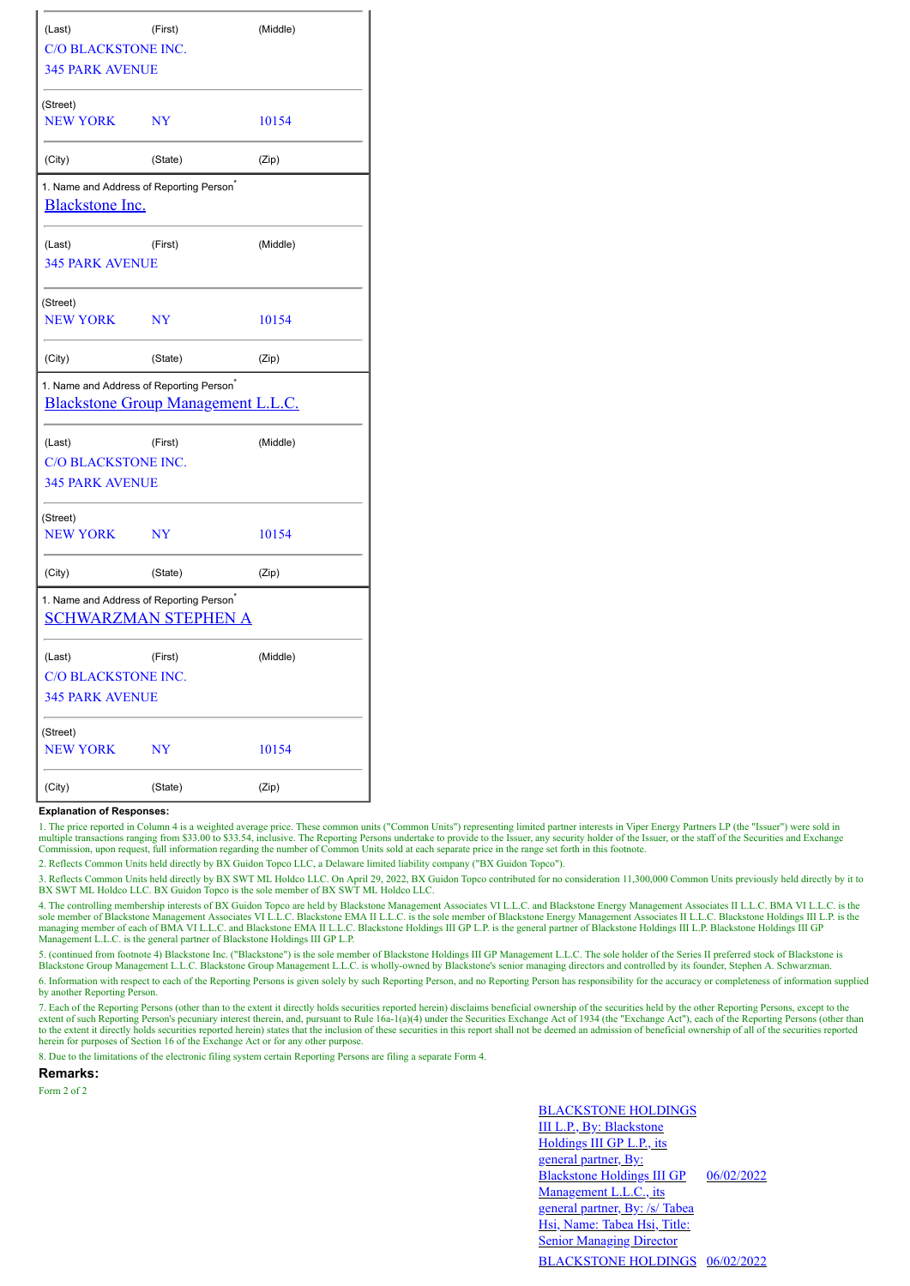| (Last)                                                                                     | (First)   | (Middle) |  |
|--------------------------------------------------------------------------------------------|-----------|----------|--|
| <b>C/O BLACKSTONE INC.</b>                                                                 |           |          |  |
| <b>345 PARK AVENUE</b>                                                                     |           |          |  |
| (Street)                                                                                   |           |          |  |
| <b>NEW YORK</b>                                                                            | <b>NY</b> | 10154    |  |
| (City)                                                                                     | (State)   | (Zip)    |  |
| 1. Name and Address of Reporting Person <sup>*</sup><br><b>Blackstone Inc.</b>             |           |          |  |
| (Last)                                                                                     | (First)   | (Middle) |  |
| <b>345 PARK AVENUE</b>                                                                     |           |          |  |
| (Street)                                                                                   |           |          |  |
| <b>NEW YORK</b>                                                                            | <b>NY</b> | 10154    |  |
| (City)                                                                                     | (State)   | (Zip)    |  |
| 1. Name and Address of Reporting Person <sup>*</sup><br>Blackstone Group Management L.L.C. |           |          |  |
| (Last)                                                                                     | (First)   | (Middle) |  |
| C/O BLACKSTONE INC.                                                                        |           |          |  |
| <b>345 PARK AVENUE</b>                                                                     |           |          |  |
| (Street)                                                                                   |           |          |  |
| <b>NEW YORK</b>                                                                            | <b>NY</b> | 10154    |  |
| (City)                                                                                     | (State)   | (Zip)    |  |
| 1. Name and Address of Reporting Person <sup>®</sup><br><b>SCHWARZMAN STEPHEN A</b>        |           |          |  |
| (Last)                                                                                     | (First)   | (Middle) |  |
| <b>C/O BLACKSTONE INC.</b>                                                                 |           |          |  |
| <b>345 PARK AVENUE</b>                                                                     |           |          |  |
| (Street)                                                                                   |           |          |  |
| <b>NEW YORK</b>                                                                            | <b>NY</b> | 10154    |  |
| (City)                                                                                     | (State)   | (Zip)    |  |

## **Explanation of Responses:**

1. The price reported in Column 4 is a weighted average price. These common units ("Common Units") representing limited partner interests in Viper Energy Partners LP (the "Issuer") were sold in multiple transactions ranging from \$33.00 to \$33.54, inclusive. The Reporting Persons undertake to provide to the Issuer, any security holder of the Issuer, or the staff of the Securities and Exchange Commission, upon requ

2. Reflects Common Units held directly by BX Guidon Topco LLC, a Delaware limited liability company ("BX Guidon Topco").

3. Reflects Common Units held directly by BX SWT ML Holdco LLC. On April 29, 2022, BX Guidon Topco contributed for no consideration 11,300,000 Common Units previously held directly by it to BX SWT ML Holdco LLC. BX Guidon Topco is the sole member of BX SWT ML Holdco LLC.

4. The controlling membership interests of BX Guidon Topco are held by Blackstone Management Associates VI L.L.C. and Blackstone Energy Management Associates II L.L.C. BMA VI L.L.C. is the sole member of Blackstone Managem managing member of each of BMA VI L.L.C. and Blackstone EMA II L.L.C. Blackstone Holdings III GP L.P. is the general partner of Blackstone Holdings III L.P. Blackstone Holdings III GP<br>Management L.L.C. is the general partn

5. (continued from footnote 4) Blackstone Inc. ("Blackstone") is the sole member of Blackstone Holdings III GP Management L.L.C. The sole holder of the Series II preferred stock of Blackstone is<br>Blackstone Group Management

6. Information with respect to each of the Reporting Persons is given solely by such Reporting Person, and no Reporting Person has responsibility for the accuracy or completeness of information supplied by another Reporting Person.

7. Each of the Reporting Persons (other than to the extent it directly holds securities reported herein) disclaims beneficial ownership of the securities held by the other Reporting Persons, except to the extent of such Reporting Person's pecuniary interest therein, and, pursuant to Rule 16a-1(a)(4) under the Securities Exchange Act of 1934 (the "Exchange Act"), each of the Reporting Persons (other than<br>to the extent it dir herein for purposes of Section 16 of the Exchange Act or for any other purpose.

8. Due to the limitations of the electronic filing system certain Reporting Persons are filing a separate Form 4.

**Remarks:**

Form 2 of 2

BLACKSTONE HOLDINGS III L.P., By: Blackstone Holdings III GP L.P., its general partner, By: Blackstone Holdings III GP Management L.L.C., its general partner, By: /s/ Tabea Hsi, Name: Tabea Hsi, Title: **Senior Managing Director** 06/02/2022 BLACKSTONE HOLDINGS 06/02/2022